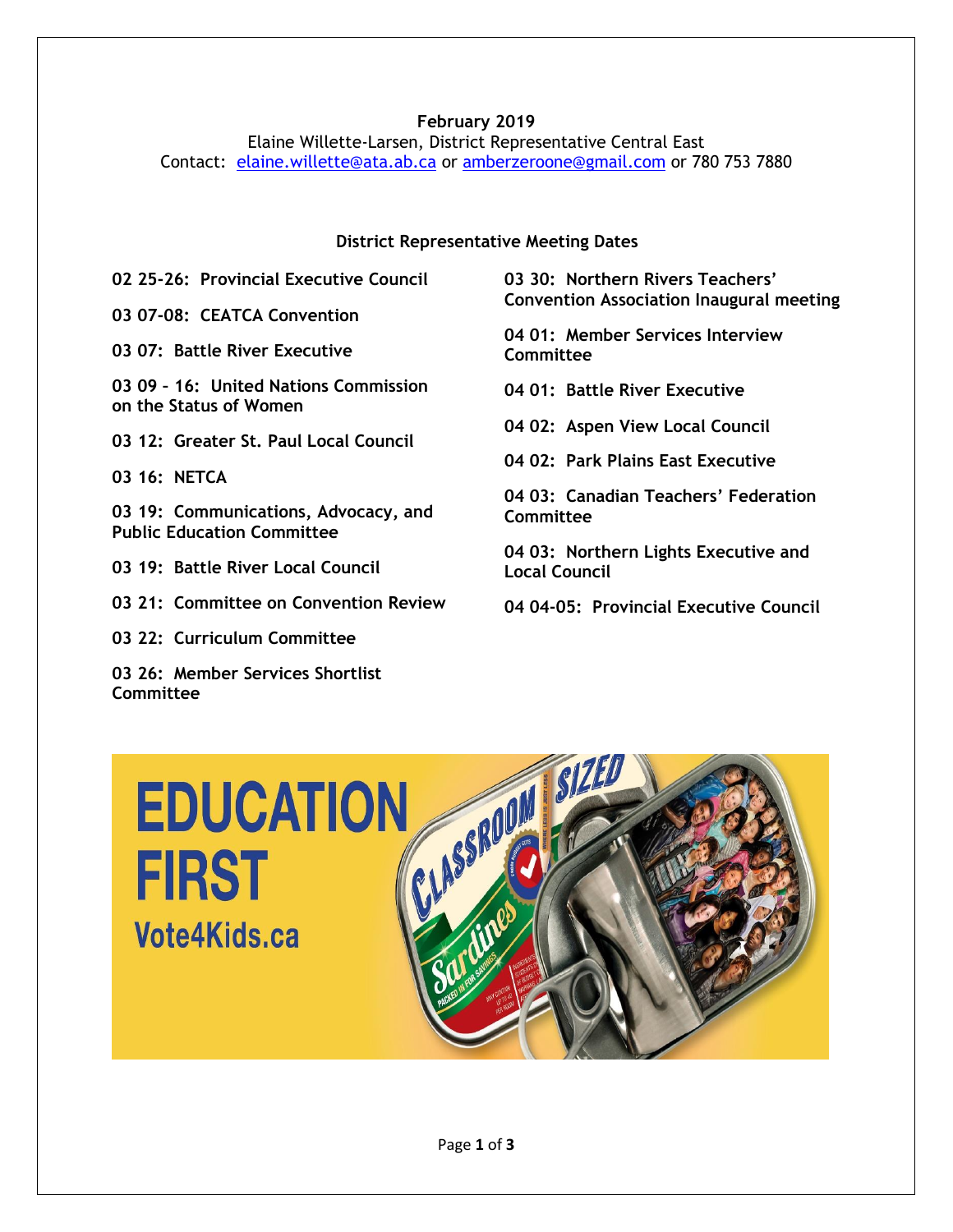# **February 2019**

Elaine Willette-Larsen, District Representative Central East Contact: [elaine.willette@ata.ab.ca](mailto:elaine.willette@ata.ab.ca) or [amberzeroone@gmail.com](mailto:amberzeroone@gmail.com) or 780 753 7880

#### **District Representative Meeting Dates**

**02 25-26: Provincial Executive Council**

**03 07-08: CEATCA Convention**

**03 07: Battle River Executive**

**03 09 – 16: United Nations Commission on the Status of Women**

**03 12: Greater St. Paul Local Council**

**03 16: NETCA** 

**03 19: Communications, Advocacy, and Public Education Committee**

**03 19: Battle River Local Council**

**03 21: Committee on Convention Review**

**03 22: Curriculum Committee**

**03 26: Member Services Shortlist Committee**

**03 30: Northern Rivers Teachers' Convention Association Inaugural meeting**

**04 01: Member Services Interview Committee**

**04 01: Battle River Executive**

**04 02: Aspen View Local Council**

**04 02: Park Plains East Executive**

**04 03: Canadian Teachers' Federation Committee**

**04 03: Northern Lights Executive and Local Council**

**04 04-05: Provincial Executive Council**

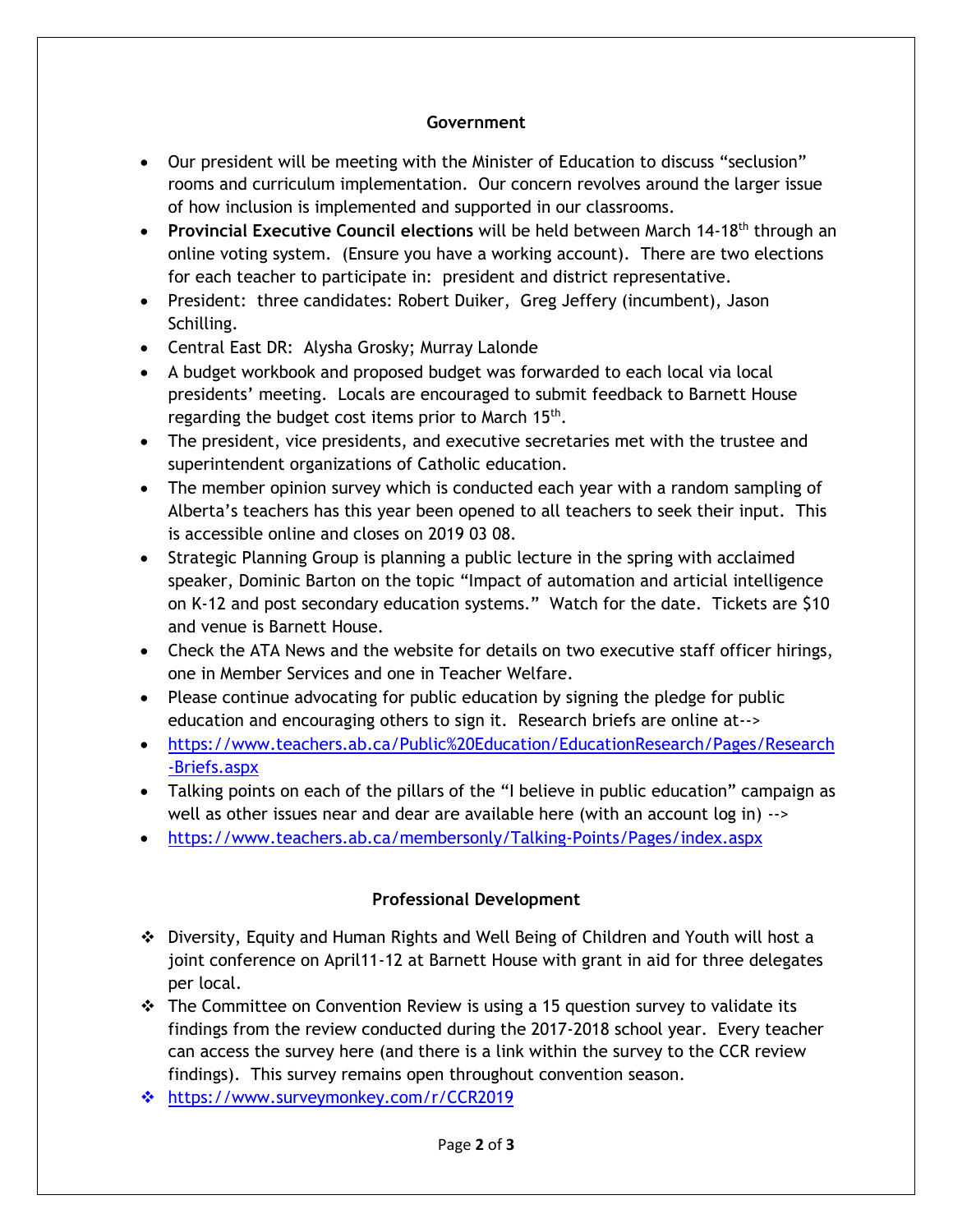#### **Government**

- Our president will be meeting with the Minister of Education to discuss "seclusion" rooms and curriculum implementation. Our concern revolves around the larger issue of how inclusion is implemented and supported in our classrooms.
- **Provincial Executive Council elections** will be held between March 14-18<sup>th</sup> through an online voting system. (Ensure you have a working account). There are two elections for each teacher to participate in: president and district representative.
- President: three candidates: Robert Duiker, Greg Jeffery (incumbent), Jason Schilling.
- Central East DR: Alysha Grosky; Murray Lalonde
- A budget workbook and proposed budget was forwarded to each local via local presidents' meeting. Locals are encouraged to submit feedback to Barnett House regarding the budget cost items prior to March 15<sup>th</sup>.
- The president, vice presidents, and executive secretaries met with the trustee and superintendent organizations of Catholic education.
- The member opinion survey which is conducted each year with a random sampling of Alberta's teachers has this year been opened to all teachers to seek their input. This is accessible online and closes on 2019 03 08.
- Strategic Planning Group is planning a public lecture in the spring with acclaimed speaker, Dominic Barton on the topic "Impact of automation and articial intelligence on K-12 and post secondary education systems." Watch for the date. Tickets are \$10 and venue is Barnett House.
- Check the ATA News and the website for details on two executive staff officer hirings, one in Member Services and one in Teacher Welfare.
- Please continue advocating for public education by signing the pledge for public education and encouraging others to sign it. Research briefs are online at-->
- [https://www.teachers.ab.ca/Public%20Education/EducationResearch/Pages/Research](https://www.teachers.ab.ca/Public%20Education/EducationResearch/Pages/Research-Briefs.aspx) [-Briefs.aspx](https://www.teachers.ab.ca/Public%20Education/EducationResearch/Pages/Research-Briefs.aspx)
- Talking points on each of the pillars of the "I believe in public education" campaign as well as other issues near and dear are available here (with an account log in) -->
- <https://www.teachers.ab.ca/membersonly/Talking-Points/Pages/index.aspx>

# **Professional Development**

- ❖ Diversity, Equity and Human Rights and Well Being of Children and Youth will host a joint conference on April11-12 at Barnett House with grant in aid for three delegates per local.
- ❖ The Committee on Convention Review is using a 15 question survey to validate its findings from the review conducted during the 2017-2018 school year. Every teacher can access the survey here (and there is a link within the survey to the CCR review findings). This survey remains open throughout convention season.
- ❖ <https://www.surveymonkey.com/r/CCR2019>